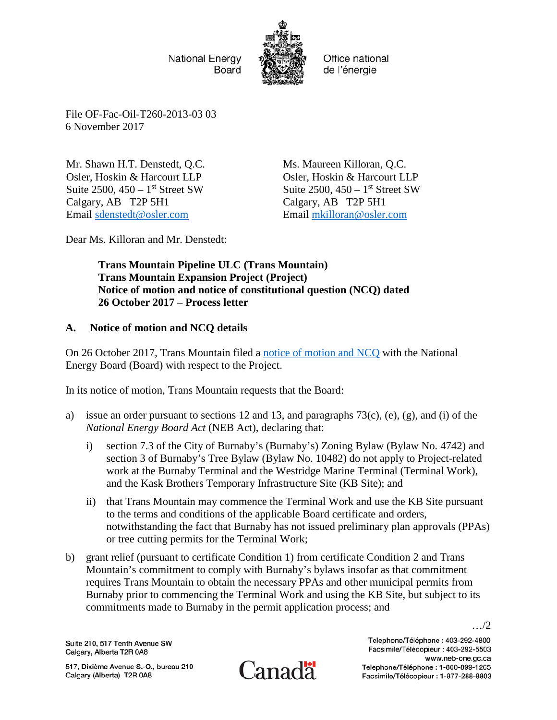National Energy Board



Office national de l'énergie

File OF-Fac-Oil-T260-2013-03 03 6 November 2017

Mr. Shawn H.T. Denstedt, Q.C. Osler, Hoskin & Harcourt LLP Suite  $2500$ ,  $450 - 1$ <sup>st</sup> Street SW Calgary, AB T2P 5H1 Email [sdenstedt@osler.com](mailto:sdenstedt@osler.com)

Ms. Maureen Killoran, Q.C. Osler, Hoskin & Harcourt LLP Suite  $2500$ ,  $450 - 1$ <sup>st</sup> Street SW Calgary, AB T2P 5H1 Email [mkilloran@osler.com](mailto:mkilloran@osler.com)

Dear Ms. Killoran and Mr. Denstedt:

**Trans Mountain Pipeline ULC (Trans Mountain) Trans Mountain Expansion Project (Project) Notice of motion and notice of constitutional question (NCQ) dated 26 October 2017 – Process letter**

## **A. Notice of motion and NCQ details**

On 26 October 2017, Trans Mountain filed a [notice of motion and NCQ](https://apps.neb-one.gc.ca/REGDOCS/Item/View/3346511) with the National Energy Board (Board) with respect to the Project.

In its notice of motion, Trans Mountain requests that the Board:

- a) issue an order pursuant to sections 12 and 13, and paragraphs 73(c), (e), (g), and (i) of the *National Energy Board Act* (NEB Act), declaring that:
	- i) section 7.3 of the City of Burnaby's (Burnaby's) Zoning Bylaw (Bylaw No. 4742) and section 3 of Burnaby's Tree Bylaw (Bylaw No. 10482) do not apply to Project-related work at the Burnaby Terminal and the Westridge Marine Terminal (Terminal Work), and the Kask Brothers Temporary Infrastructure Site (KB Site); and
	- ii) that Trans Mountain may commence the Terminal Work and use the KB Site pursuant to the terms and conditions of the applicable Board certificate and orders, notwithstanding the fact that Burnaby has not issued preliminary plan approvals (PPAs) or tree cutting permits for the Terminal Work;
- b) grant relief (pursuant to certificate Condition 1) from certificate Condition 2 and Trans Mountain's commitment to comply with Burnaby's bylaws insofar as that commitment requires Trans Mountain to obtain the necessary PPAs and other municipal permits from Burnaby prior to commencing the Terminal Work and using the KB Site, but subject to its commitments made to Burnaby in the permit application process; and

Suite 210, 517 Tenth Avenue SW Calgary, Alberta T2R 0A8

517, Dixième Avenue S.-O., bureau 210 Calgary (Alberta) T2R 0A8



Telephone/Téléphone: 403-292-4800 Facsimile/Télécopieur: 403-292-5503 www.neb-one.ac.ca Telephone/Téléphone: 1-800-899-1265 Facsimile/Télécopieur : 1-877-288-8803

…/2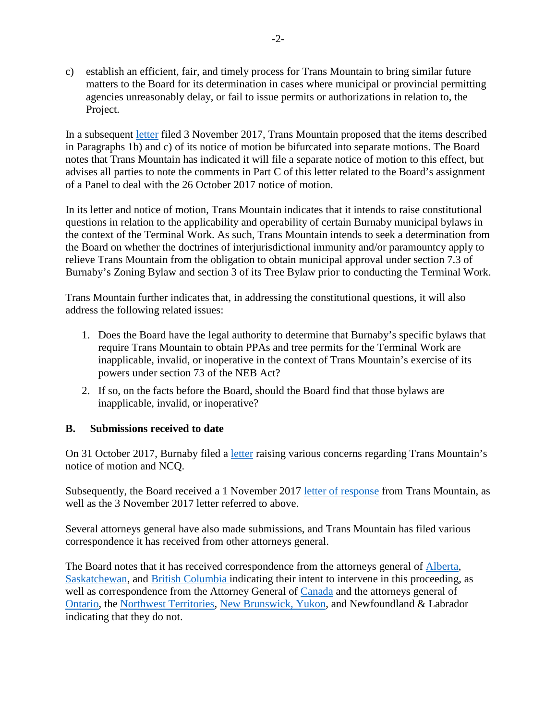c) establish an efficient, fair, and timely process for Trans Mountain to bring similar future matters to the Board for its determination in cases where municipal or provincial permitting agencies unreasonably delay, or fail to issue permits or authorizations in relation to, the Project.

In a subsequent [letter](https://apps.neb-one.gc.ca/REGDOCS/Item/Filing/A87547) filed 3 November 2017, Trans Mountain proposed that the items described in Paragraphs 1b) and c) of its notice of motion be bifurcated into separate motions. The Board notes that Trans Mountain has indicated it will file a separate notice of motion to this effect, but advises all parties to note the comments in Part C of this letter related to the Board's assignment of a Panel to deal with the 26 October 2017 notice of motion.

In its letter and notice of motion, Trans Mountain indicates that it intends to raise constitutional questions in relation to the applicability and operability of certain Burnaby municipal bylaws in the context of the Terminal Work. As such, Trans Mountain intends to seek a determination from the Board on whether the doctrines of interjurisdictional immunity and/or paramountcy apply to relieve Trans Mountain from the obligation to obtain municipal approval under section 7.3 of Burnaby's Zoning Bylaw and section 3 of its Tree Bylaw prior to conducting the Terminal Work.

Trans Mountain further indicates that, in addressing the constitutional questions, it will also address the following related issues:

- 1. Does the Board have the legal authority to determine that Burnaby's specific bylaws that require Trans Mountain to obtain PPAs and tree permits for the Terminal Work are inapplicable, invalid, or inoperative in the context of Trans Mountain's exercise of its powers under section 73 of the NEB Act?
- 2. If so, on the facts before the Board, should the Board find that those bylaws are inapplicable, invalid, or inoperative?

## **B. Submissions received to date**

On 31 October 2017, Burnaby filed a [letter](https://apps.neb-one.gc.ca/REGDOCS/Item/Filing/A87383) raising various concerns regarding Trans Mountain's notice of motion and NCQ.

Subsequently, the Board received a 1 November 2017 [letter of response](https://apps.neb-one.gc.ca/REGDOCS/Item/Filing/A87430) from Trans Mountain, as well as the 3 November 2017 letter referred to above.

Several attorneys general have also made submissions, and Trans Mountain has filed various correspondence it has received from other attorneys general.

The Board notes that it has received correspondence from the attorneys general of [Alberta,](https://apps.neb-one.gc.ca/REGDOCS/Item/Filing/A87466) [Saskatchewan,](https://apps.neb-one.gc.ca/REGDOCS/Item/Filing/A87451) and [British Columbia](https://apps.neb-one.gc.ca/REGDOCS/Item/Filing/A87465) indicating their intent to intervene in this proceeding, as well as correspondence from the Attorney General of [Canada](https://apps.neb-one.gc.ca/REGDOCS/Item/Filing/A87477) and the attorneys general of [Ontario,](https://apps.neb-one.gc.ca/REGDOCS/Item/Filing/A87472) the [Northwest Territories,](https://apps.neb-one.gc.ca/REGDOCS/Item/Filing/A87406) [New Brunswick, Yukon,](https://apps.neb-one.gc.ca/REGDOCS/Item/Filing/A87477) and Newfoundland & Labrador indicating that they do not.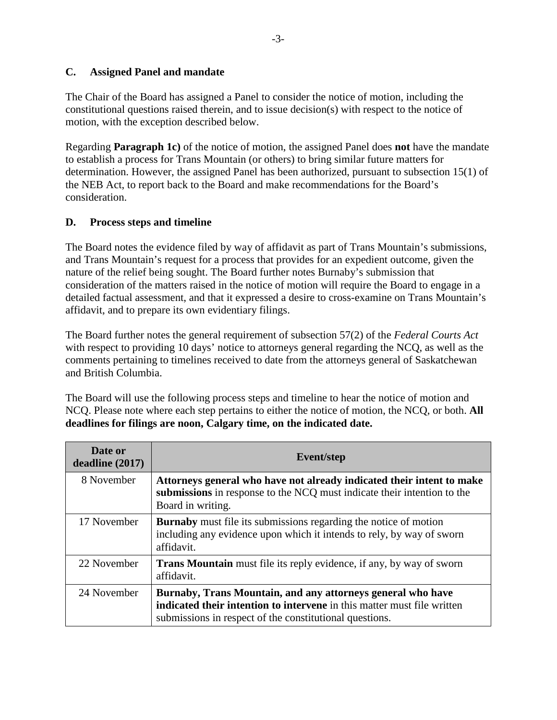## **C. Assigned Panel and mandate**

The Chair of the Board has assigned a Panel to consider the notice of motion, including the constitutional questions raised therein, and to issue decision(s) with respect to the notice of motion, with the exception described below.

Regarding **Paragraph 1c)** of the notice of motion, the assigned Panel does **not** have the mandate to establish a process for Trans Mountain (or others) to bring similar future matters for determination. However, the assigned Panel has been authorized, pursuant to subsection 15(1) of the NEB Act, to report back to the Board and make recommendations for the Board's consideration.

## **D. Process steps and timeline**

The Board notes the evidence filed by way of affidavit as part of Trans Mountain's submissions, and Trans Mountain's request for a process that provides for an expedient outcome, given the nature of the relief being sought. The Board further notes Burnaby's submission that consideration of the matters raised in the notice of motion will require the Board to engage in a detailed factual assessment, and that it expressed a desire to cross-examine on Trans Mountain's affidavit, and to prepare its own evidentiary filings.

The Board further notes the general requirement of subsection 57(2) of the *Federal Courts Act*  with respect to providing 10 days' notice to attorneys general regarding the NCQ, as well as the comments pertaining to timelines received to date from the attorneys general of Saskatchewan and British Columbia.

The Board will use the following process steps and timeline to hear the notice of motion and NCQ. Please note where each step pertains to either the notice of motion, the NCQ, or both. **All deadlines for filings are noon, Calgary time, on the indicated date.**

| Date or<br>deadline(2017) | <b>Event/step</b>                                                                                                                                                                                        |
|---------------------------|----------------------------------------------------------------------------------------------------------------------------------------------------------------------------------------------------------|
| 8 November                | Attorneys general who have not already indicated their intent to make<br>submissions in response to the NCQ must indicate their intention to the<br>Board in writing.                                    |
| 17 November               | <b>Burnaby</b> must file its submissions regarding the notice of motion<br>including any evidence upon which it intends to rely, by way of sworn<br>affidavit.                                           |
| 22 November               | <b>Trans Mountain</b> must file its reply evidence, if any, by way of sworn<br>affidavit.                                                                                                                |
| 24 November               | Burnaby, Trans Mountain, and any attorneys general who have<br><b>indicated their intention to intervene</b> in this matter must file written<br>submissions in respect of the constitutional questions. |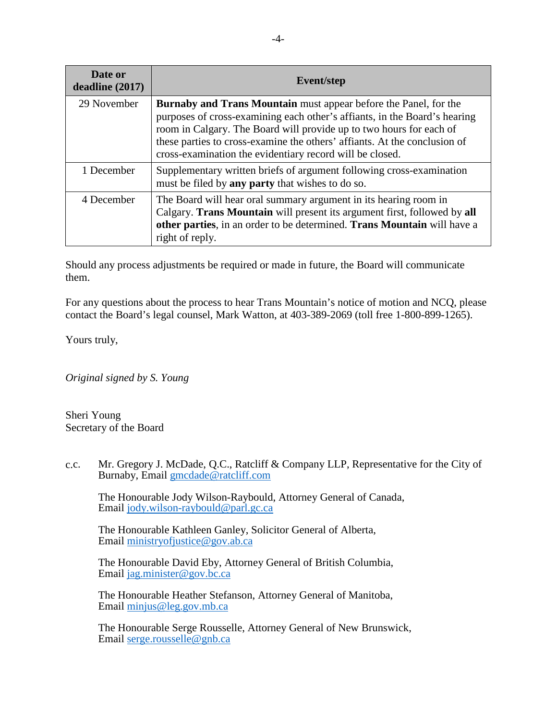| Date or<br>deadline (2017) | <b>Event/step</b>                                                                                                                                                                                                                                                                                                                                                    |
|----------------------------|----------------------------------------------------------------------------------------------------------------------------------------------------------------------------------------------------------------------------------------------------------------------------------------------------------------------------------------------------------------------|
| 29 November                | <b>Burnaby and Trans Mountain</b> must appear before the Panel, for the<br>purposes of cross-examining each other's affiants, in the Board's hearing<br>room in Calgary. The Board will provide up to two hours for each of<br>these parties to cross-examine the others' affiants. At the conclusion of<br>cross-examination the evidentiary record will be closed. |
| 1 December                 | Supplementary written briefs of argument following cross-examination<br>must be filed by any party that wishes to do so.                                                                                                                                                                                                                                             |
| 4 December                 | The Board will hear oral summary argument in its hearing room in<br>Calgary. Trans Mountain will present its argument first, followed by all<br>other parties, in an order to be determined. Trans Mountain will have a<br>right of reply.                                                                                                                           |

Should any process adjustments be required or made in future, the Board will communicate them.

For any questions about the process to hear Trans Mountain's notice of motion and NCQ, please contact the Board's legal counsel, Mark Watton, at 403-389-2069 (toll free 1-800-899-1265).

Yours truly,

*Original signed by S. Young* 

Sheri Young Secretary of the Board

c.c. Mr. Gregory J. McDade, Q.C., Ratcliff & Company LLP, Representative for the City of Burnaby, Email [gmcdade@ratcliff.com](mailto:gmcdade@ratcliff.com)

The Honourable Jody Wilson-Raybould, Attorney General of Canada, Email [jody.wilson-raybould@parl.gc.ca](mailto:jody.wilson-raybould@parl.gc.ca)

The Honourable Kathleen Ganley, Solicitor General of Alberta, Email [ministryofjustice@gov.ab.ca](mailto:ministryofjustice@gov.ab.ca) 

The Honourable David Eby, Attorney General of British Columbia, Email [jag.minister@gov.bc.ca](mailto:jag.minister@gov.bc.ca) 

The Honourable Heather Stefanson, Attorney General of Manitoba, Email [minjus@leg.gov.mb.ca](mailto:minjus@leg.gov.mb.ca) 

The Honourable Serge Rousselle, Attorney General of New Brunswick, Email [serge.rousselle@gnb.ca](mailto:serge.rousselle@gnb.ca)